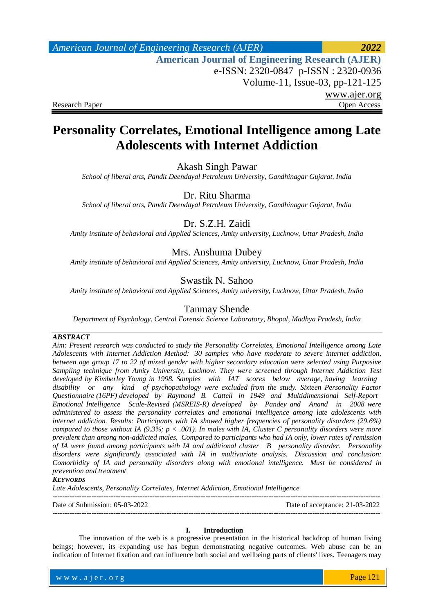# *American Journal of Engineering Research (AJER) 2022*  **American Journal of Engineering Research (AJER)** e-ISSN: 2320-0847 p-ISSN : 2320-0936 Volume-11, Issue-03, pp-121-125 www.ajer.org Research Paper **Open Access** Open Access **Open Access**

# **Personality Correlates, Emotional Intelligence among Late Adolescents with Internet Addiction**

Akash Singh Pawar

*School of liberal arts, Pandit Deendayal Petroleum University, Gandhinagar Gujarat, India*

Dr. Ritu Sharma

*School of liberal arts, Pandit Deendayal Petroleum University, Gandhinagar Gujarat, India*

# Dr. S.Z.H. Zaidi

*Amity institute of behavioral and Applied Sciences, Amity university, Lucknow, Uttar Pradesh, India*

# Mrs. Anshuma Dubey

*Amity institute of behavioral and Applied Sciences, Amity university, Lucknow, Uttar Pradesh, India*

### Swastik N. Sahoo

*Amity institute of behavioral and Applied Sciences, Amity university, Lucknow, Uttar Pradesh, India*

### Tanmay Shende

*Department of Psychology, Central Forensic Science Laboratory, Bhopal, Madhya Pradesh, India*

### *ABSTRACT*

*Aim: Present research was conducted to study the Personality Correlates, Emotional Intelligence among Late Adolescents with Internet Addiction Method: 30 samples who have moderate to severe internet addiction, between age group 17 to 22 of mixed gender with higher secondary education were selected using Purposive Sampling technique from Amity University, Lucknow. They were screened through Internet Addiction Test*  developed by Kimberley Young in 1998. Samples with IAT scores below average, having learning *disability or any kind of psychopathology were excluded from the study. Sixteen Personality Factor Questionnaire (16PF) developed by Raymond B. Cattell in 1949 and Multidimensional Self-Report Emotional Intelligence Scale-Revised (MSREIS-R) developed by Pandey and Anand in 2008 were administered to assess the personality correlates and emotional intelligence among late adolescents with internet addiction. Results: Participants with IA showed higher frequencies of personality disorders (29.6%) compared to those without IA (9.3%; p < .001). In males with IA, Cluster C personality disorders were more prevalent than among non-addicted males. Compared to participants who had IA only, lower rates of remission of IA were found among participants with IA and additional cluster B personality disorder. Personality disorders were significantly associated with IA in multivariate analysis. Discussion and conclusion: Comorbidity of IA and personality disorders along with emotional intelligence. Must be considered in prevention and treatment*

### *KEYWORDS*

*Late Adolescents, Personality Correlates, Internet Addiction, Emotional Intelligence*

---------------------------------------------------------------------------------------------------------------------------------------

Date of Submission: 05-03-2022 Date of acceptance: 21-03-2022

---------------------------------------------------------------------------------------------------------------------------------------

### **I. Introduction**

The innovation of the web is a progressive presentation in the historical backdrop of human living beings; however, its expanding use has begun demonstrating negative outcomes. Web abuse can be an indication of Internet fixation and can influence both social and wellbeing parts of clients' lives. Teenagers may

www.ajer.org w w w . a j e r . o r g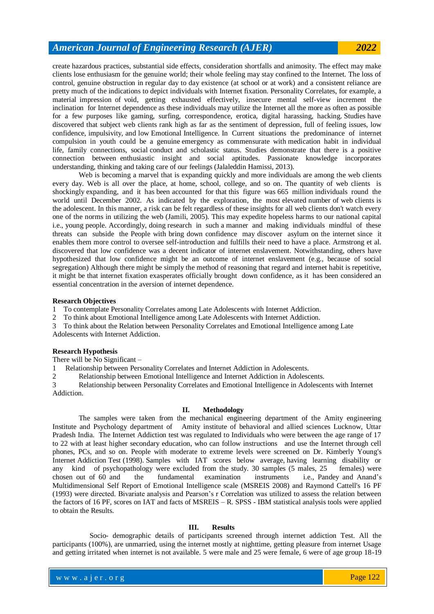create hazardous practices, substantial side effects, consideration shortfalls and animosity. The effect may make clients lose enthusiasm for the genuine world; their whole feeling may stay confined to the Internet. The loss of control, genuine obstruction in regular day to day existence (at school or at work) and a consistent reliance are pretty much of the indications to depict individuals with Internet fixation. Personality Correlates, for example, a material impression of void, getting exhausted effectively, insecure mental self-view increment the inclination for Internet dependence as these individuals may utilize the Internet all the more as often as possible for a few purposes like gaming, surfing, correspondence, erotica, digital harassing, hacking. Studies have discovered that subject web clients rank high as far as the sentiment of depression, full of feeling issues, low confidence, impulsivity, and low Emotional Intelligence. In Current situations the predominance of internet compulsion in youth could be a genuine emergency as commensurate with medication habit in individual life, family connections, social conduct and scholastic status. Studies demonstrate that there is a positive connection between enthusiastic insight and social aptitudes. Passionate knowledge incorporates understanding, thinking and taking care of our feelings (Jalaleddin Hamissi, 2013).

Web is becoming a marvel that is expanding quickly and more individuals are among the web clients every day. Web is all over the place, at home, school, college, and so on. The quantity of web clients is shockingly expanding, and it has been accounted for that this figure was 665 million individuals round the world until December 2002. As indicated by the exploration, the most elevated number of web clients is the adolescent. In this manner, a risk can be felt regardless of these insights for all web clients don't watch every one of the norms in utilizing the web (Jamili, 2005). This may expedite hopeless harms to our national capital i.e., young people. Accordingly, doing research in such a manner and making individuals mindful of these threats can subside the People with bring down confidence may discover asylum on the internet since it enables them more control to oversee self-introduction and fulfills their need to have a place. Armstrong et al. discovered that low confidence was a decent indicator of internet enslavement. Notwithstanding, others have hypothesized that low confidence might be an outcome of internet enslavement (e.g., because of social segregation) Although there might be simply the method of reasoning that regard and internet habit is repetitive, it might be that internet fixation exasperates officially brought down confidence, as it has been considered an essential concentration in the aversion of internet dependence.

### **Research Objectives**

1 To contemplate Personality Correlates among Late Adolescents with Internet Addiction.

- 2 To think about Emotional Intelligence among Late Adolescents with Internet Addiction.
- 3 To think about the Relation between Personality Correlates and Emotional Intelligence among Late Adolescents with Internet Addiction.

### **Research Hypothesis**

There will be No Significant –

1 Relationship between Personality Correlates and Internet Addiction in Adolescents.

2 Relationship between Emotional Intelligence and Internet Addiction in Adolescents.

3 Relationship between Personality Correlates and Emotional Intelligence in Adolescents with Internet Addiction.

### **II. Methodology**

The samples were taken from the mechanical engineering department of the Amity engineering Institute and Psychology department of Amity institute of behavioral and allied sciences Lucknow, Uttar Pradesh India. The Internet Addiction test was regulated to Individuals who were between the age range of 17 to 22 with at least higher secondary education, who can follow instructions and use the Internet through cell phones, PCs, and so on. People with moderate to extreme levels were screened on Dr. Kimberly Young's Internet Addiction Test (1998). Samples with IAT scores below average, having learning disability or any kind of psychopathology were excluded from the study. 30 samples (5 males, 25 females) were chosen out of 60 and the fundamental examination instruments i.e., Pandey and Anand's Multidimensional Self Report of Emotional Intelligence scale (MSREIS 2008) and Raymond Cattell's 16 PF (1993) were directed. Bivariate analysis and Pearson's r Correlation was utilized to assess the relation between the factors of 16 PF, scores on IAT and facts of MSREIS – R. SPSS - IBM statistical analysis tools were applied to obtain the Results.

### **III. Results**

 Socio- demographic details of participants screened through internet addiction Test. All the participants (100%), are unmarried, using the internet mostly at nighttime, getting pleasure from internet Usage and getting irritated when internet is not available. 5 were male and 25 were female, 6 were of age group 18-19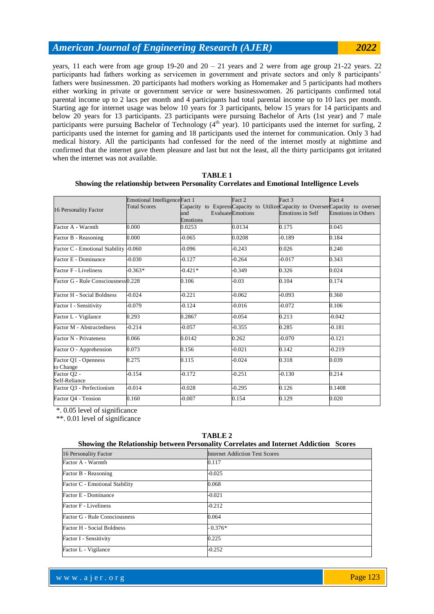years, 11 each were from age group  $19-20$  and  $20 - 21$  years and 2 were from age group  $21-22$  years. 22 participants had fathers working as servicemen in government and private sectors and only 8 participants' fathers were businessmen. 20 participants had mothers working as Homemaker and 5 participants had mothers either working in private or government service or were businesswomen. 26 participants confirmed total parental income up to 2 lacs per month and 4 participants had total parental income up to 10 lacs per month. Starting age for internet usage was below 10 years for 3 participants, below 15 years for 14 participants and below 20 years for 13 participants. 23 participants were pursuing Bachelor of Arts (1st year) and 7 male participants were pursuing Bachelor of Technology (4<sup>th</sup> year). 10 participants used the internet for surfing, 2 participants used the internet for gaming and 18 participants used the internet for communication. Only 3 had medical history. All the participants had confessed for the need of the internet mostly at nighttime and confirmed that the internet gave them pleasure and last but not the least, all the thirty participants got irritated when the internet was not available.

|                                       | Emotional IntelligenceFact 1<br><b>Total Scores</b> | Capacity to ExpressCapacity to UtilizeCapacity to OverseeCapacity to oversee | Fact 2                   | Fact 3                  | Fact 4                    |
|---------------------------------------|-----------------------------------------------------|------------------------------------------------------------------------------|--------------------------|-------------------------|---------------------------|
| 16 Personality Factor                 |                                                     | and<br>Emotions                                                              | <b>Evaluate</b> Emotions | <b>Emotions in Self</b> | <b>Emotions in Others</b> |
| Factor A - Warmth                     | 0.000                                               | 0.0253                                                                       | 0.0134                   | 0.175                   | 0.045                     |
| Factor B - Reasoning                  | 0.000                                               | $-0.065$                                                                     | 0.0208                   | $-0.189$                | 0.184                     |
| Factor C - Emotional Stability -0.060 |                                                     | $-0.096$                                                                     | $-0.243$                 | 0.026                   | 0.240                     |
| Factor E - Dominance                  | $-0.030$                                            | $-0.127$                                                                     | $-0.264$                 | $-0.017$                | 0.343                     |
| Factor F - Liveliness                 | $-0.363*$                                           | $-0.421*$                                                                    | $-0.349$                 | 0.326                   | 0.024                     |
| Factor G - Rule Consciousness0.228    |                                                     | 0.106                                                                        | $-0.03$                  | 0.104                   | 0.174                     |
| Factor H - Social Boldness            | $-0.024$                                            | $-0.221$                                                                     | $-0.062$                 | $-0.093$                | 0.360                     |
| Factor I - Sensitivity                | $-0.079$                                            | $-0.124$                                                                     | $-0.016$                 | $-0.072$                | 0.106                     |
| Factor L - Vigilance                  | 0.293                                               | 0.2867                                                                       | $-0.054$                 | 0.213                   | $-0.042$                  |
| Factor M - Abstractedness             | $-0.214$                                            | $-0.057$                                                                     | $-0.355$                 | 0.285                   | $-0.181$                  |
| Factor N - Privateness                | 0.066                                               | 0.0142                                                                       | 0.262                    | $-0.070$                | $-0.121$                  |
| Factor O - Apprehension               | 0.073                                               | 0.156                                                                        | $-0.021$                 | 0.142                   | $-0.219$                  |
| Factor Q1 - Openness<br>to Change     | 0.275                                               | 0.115                                                                        | $-0.024$                 | 0.318                   | 0.039                     |
| Factor Q2 -<br>Self-Reliance          | $-0.154$                                            | $-0.172$                                                                     | $-0.251$                 | $-0.130$                | 0.214                     |
| Factor O3 - Perfectionism             | $-0.014$                                            | $-0.028$                                                                     | $-0.295$                 | 0.126                   | 0.1408                    |
| Factor O4 - Tension                   | 0.160                                               | $-0.007$                                                                     | 0.154                    | 0.129                   | 0.020                     |

#### **TABLE 1 Showing the relationship between Personality Correlates and Emotional Intelligence Levels**

\*. 0.05 level of significance

\*\*. 0.01 level of significance

| Showing the Relationship between Personality Correlates and Internet Addiction Scores |                                       |  |  |  |  |  |  |
|---------------------------------------------------------------------------------------|---------------------------------------|--|--|--|--|--|--|
| 16 Personality Factor                                                                 | <b>Internet Addiction Test Scores</b> |  |  |  |  |  |  |
| Factor A - Warmth                                                                     | 0.117                                 |  |  |  |  |  |  |
| Factor B - Reasoning                                                                  | $-0.025$                              |  |  |  |  |  |  |
| Factor C - Emotional Stability                                                        | 0.068                                 |  |  |  |  |  |  |
| Factor E - Dominance                                                                  | $-0.021$                              |  |  |  |  |  |  |
| Factor F - Liveliness                                                                 | $-0.212$                              |  |  |  |  |  |  |
| Factor G - Rule Consciousness                                                         | 0.064                                 |  |  |  |  |  |  |
| Factor H - Social Boldness                                                            | $-0.376*$                             |  |  |  |  |  |  |
| Factor I - Sensitivity                                                                | 0.225                                 |  |  |  |  |  |  |
| Factor L - Vigilance                                                                  | $-0.252$                              |  |  |  |  |  |  |

# **TABLE 2**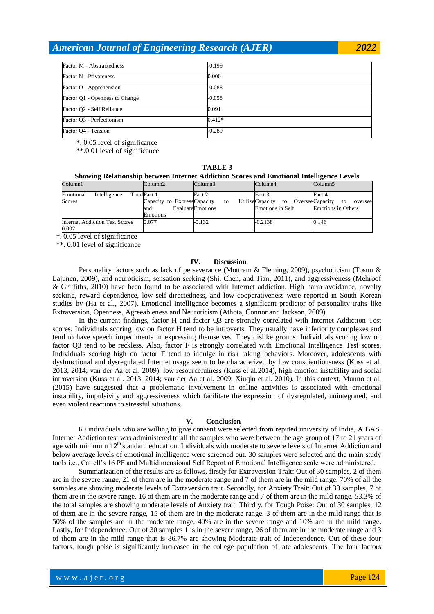| Factor M - Abstractedness      | $-0.199$ |
|--------------------------------|----------|
| Factor N - Privateness         | 0.000    |
| Factor O - Apprehension        | $-0.088$ |
| Factor Q1 - Openness to Change | $-0.058$ |
| Factor Q2 - Self Reliance      | 0.091    |
| Factor Q3 - Perfectionism      | $0.412*$ |
| Factor Q4 - Tension            | $-0.289$ |

\*. 0.05 level of significance

\*\*.0.01 level of significance

**TABLE 3 Showing Relationship between Internet Addiction Scores and Emotional Intelligence Levels**

| Column1   |                                | Column2                                        | Column3          |    | Column4                                                       |  | Column5                   |    |         |
|-----------|--------------------------------|------------------------------------------------|------------------|----|---------------------------------------------------------------|--|---------------------------|----|---------|
| Emotional | Intelligence                   | TotalFact 1                                    | Fact 2           |    | Fact 3                                                        |  | Fact 4                    |    |         |
| Scores    |                                | Capacity to ExpressCapacity<br>and<br>Emotions | EvaluateEmotions | to | UtilizeCapacity to OverseeCapacity<br><b>Emotions in Self</b> |  | <b>Emotions in Others</b> | to | oversee |
| 0.002     | Internet Addiction Test Scores | 0.077                                          | $-0.132$         |    | $-0.2138$                                                     |  | 0.146                     |    |         |

\*. 0.05 level of significance

\*\*. 0.01 level of significance

### **IV. Discussion**

Personality factors such as lack of perseverance (Mottram & Fleming, 2009), psychoticism (Tosun & Lajunen, 2009), and neuroticism, sensation seeking (Shi, Chen, and Tian, 2011), and aggressiveness (Mehroof & Griffiths, 2010) have been found to be associated with Internet addiction. High harm avoidance, novelty seeking, reward dependence, low self-directedness, and low cooperativeness were reported in South Korean studies by (Ha et al., 2007). Emotional intelligence becomes a significant predictor of personality traits like Extraversion, Openness, Agreeableness and Neuroticism (Athota, Connor and Jackson, 2009).

In the current findings, factor H and factor Q3 are strongly correlated with Internet Addiction Test scores. Individuals scoring low on factor H tend to be introverts. They usually have inferiority complexes and tend to have speech impediments in expressing themselves. They dislike groups. Individuals scoring low on factor Q3 tend to be reckless. Also, factor F is strongly correlated with Emotional Intelligence Test scores. Individuals scoring high on factor F tend to indulge in risk taking behaviors. Moreover, adolescents with dysfunctional and dysregulated Internet usage seem to be characterized by low conscientiousness (Kuss et al. 2013, 2014; van der Aa et al. 2009), low resourcefulness (Kuss et al.2014), high emotion instability and social introversion (Kuss et al. 2013, 2014; van der Aa et al. 2009; Xiuqin et al. 2010). In this context, Munno et al. (2015) have suggested that a problematic involvement in online activities is associated with emotional instability, impulsivity and aggressiveness which facilitate the expression of dysregulated, unintegrated, and even violent reactions to stressful situations.

### **V. Conclusion**

60 individuals who are willing to give consent were selected from reputed university of India, AIBAS. Internet Addiction test was administered to all the samples who were between the age group of 17 to 21 years of age with minimum 12<sup>th</sup> standard education. Individuals with moderate to severe levels of Internet Addiction and below average levels of emotional intelligence were screened out. 30 samples were selected and the main study tools i.e., Cattell's 16 PF and Multidimensional Self Report of Emotional Intelligence scale were administered.

Summarization of the results are as follows, firstly for Extraversion Trait: Out of 30 samples, 2 of them are in the severe range, 21 of them are in the moderate range and 7 of them are in the mild range. 70% of all the samples are showing moderate levels of Extraversion trait. Secondly, for Anxiety Trait: Out of 30 samples, 7 of them are in the severe range, 16 of them are in the moderate range and 7 of them are in the mild range. 53.3% of the total samples are showing moderate levels of Anxiety trait. Thirdly, for Tough Poise: Out of 30 samples, 12 of them are in the severe range, 15 of them are in the moderate range, 3 of them are in the mild range that is 50% of the samples are in the moderate range, 40% are in the severe range and 10% are in the mild range. Lastly, for Independence: Out of 30 samples 1 is in the severe range, 26 of them are in the moderate range and 3 of them are in the mild range that is 86.7% are showing Moderate trait of Independence. Out of these four factors, tough poise is significantly increased in the college population of late adolescents. The four factors